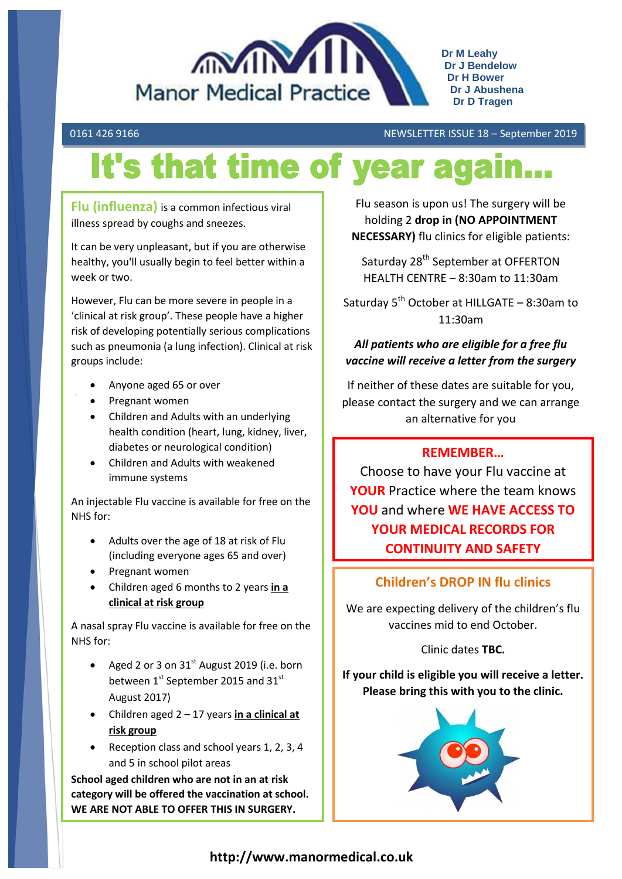

0161 426 9166 NEWSLETTER ISSUE 18 – September 2019

# It's that time of year again

**Flu (influenza)** is a common infectious viral illness spread by coughs and sneezes.

It can be very unpleasant, but if you are otherwise healthy, you'll usually begin to feel better within a week or two.

However, Flu can be more severe in people in a 'clinical at risk group'. These people have a higher risk of developing potentially serious complications such as pneumonia (a lung infection). Clinical at risk groups include:

- Anyone aged 65 or over
- Pregnant women
- Children and Adults with an underlying health condition (heart, lung, kidney, liver, diabetes or neurological condition)
- Children and Adults with weakened immune systems

An injectable Flu vaccine is available for free on the NHS for:

- Adults over the age of 18 at risk of Flu (including everyone ages 65 and over)
- Pregnant women
- Children aged 6 months to 2 years **in a clinical at risk group**

A nasal spray Flu vaccine is available for free on the NHS for:

- Aged 2 or 3 on  $31<sup>st</sup>$  August 2019 (i.e. born between  $1^{\text{st}}$  September 2015 and 31st August 2017)
- Children aged 2 17 years **in a clinical at risk group**
- Reception class and school years 1, 2, 3, 4 and 5 in school pilot areas

**School aged children who are not in an at risk category will be offered the vaccination at school. WE ARE NOT ABLE TO OFFER THIS IN SURGERY.**

Flu season is upon us! The surgery will be holding 2 **drop in (NO APPOINTMENT NECESSARY)** flu clinics for eligible patients:

Saturday 28<sup>th</sup> September at OFFERTON HEALTH CENTRE – 8:30am to 11:30am

Saturday  $5^{th}$  October at HILLGATE – 8:30am to 11:30am

# *All patients who are eligible for a free flu vaccine will receive a letter from the surgery*

If neither of these dates are suitable for you, please contact the surgery and we can arrange an alternative for you

# **REMEMBER…**

Choose to have your Flu vaccine at **YOUR** Practice where the team knows **YOU** and where **WE HAVE ACCESS TO YOUR MEDICAL RECORDS FOR CONTINUITY AND SAFETY**

# **Children's DROP IN flu clinics**

We are expecting delivery of the children's flu vaccines mid to end October.

Clinic dates **TBC.**

**If your child is eligible you will receive a letter. Please bring this with you to the clinic.**

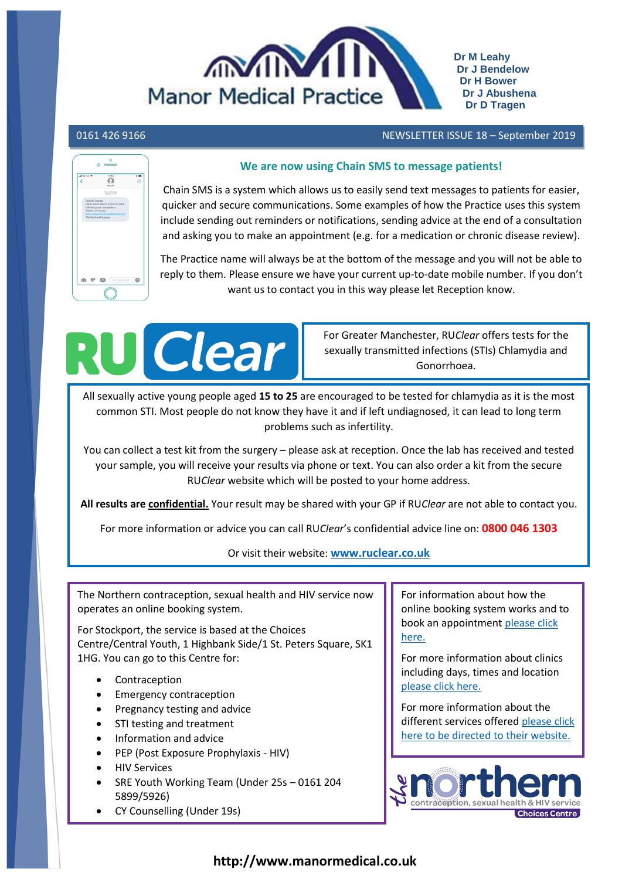

# 0161 426 9166 NEWSLETTER ISSUE 18 – September 2019

# $\ddot{\bullet}$  $\mathbf{m}$   $\mathbf{m}$

# We are now using Chain SMS to message patients!

Chain SMS is a system which allows us to easily send text messages to patients for easier, quicker and secure communications. Some examples of how the Practice uses this system include sending out reminders or notifications, sending advice at the end of a consultation and asking you to make an appointment (e.g. for a medication or chronic disease review).

The Practice name will always be at the bottom of the message and you will not be able to reply to them. Please ensure we have your current up-to-date mobile number. If you don't want us to contact you in this way please let Reception know.



For Greater Manchester, RU*Clear* offers tests for the sexually transmitted infections (STIs) Chlamydia and Gonorrhoea.

All sexually active young people aged **15 to 25** are encouraged to be tested for chlamydia as it is the most common STI. Most people do not know they have it and if left undiagnosed, it can lead to long term problems such as infertility.

You can collect a test kit from the surgery – please ask at reception. Once the lab has received and tested your sample, you will receive your results via phone or text. You can also order a kit from the secure RU*Clear* website which will be posted to your home address.

**All results are confidential.** Your result may be shared with your GP if RU*Clear* are not able to contact you.

For more information or advice you can call RU*Clear*'s confidential advice line on: **0800 046 1303**

Or visit their website: **[www.ruclear.co.uk](http://www.ruclear.co.uk/)**

The Northern contraception, sexual health and HIV service now operates an online booking system.

For Stockport, the service is based at the Choices Centre/Central Youth, 1 Highbank Side/1 St. Peters Square, SK1 1HG. You can go to this Centre for:

- Contraception
- Emergency contraception
- Pregnancy testing and advice
- STI testing and treatment
- Information and advice
- PEP (Post Exposure Prophylaxis HIV)
- HIV Services
- SRE Youth Working Team (Under 25s 0161 204 5899/5926)
- CY Counselling (Under 19s)

For information about how the online booking system works and to book an appointment [please click](http://www.thenorthernsexualhealth.co.uk/online-booking)  [here.](http://www.thenorthernsexualhealth.co.uk/online-booking)

For more information about clinics including days, times and location [please click here.](http://www.thenorthernsexualhealth.co.uk/Our-clinics)

For more information about the different services offered [please click](http://www.thenorthernsexualhealth.co.uk/index.php)  [here to be directed to their website.](http://www.thenorthernsexualhealth.co.uk/index.php)

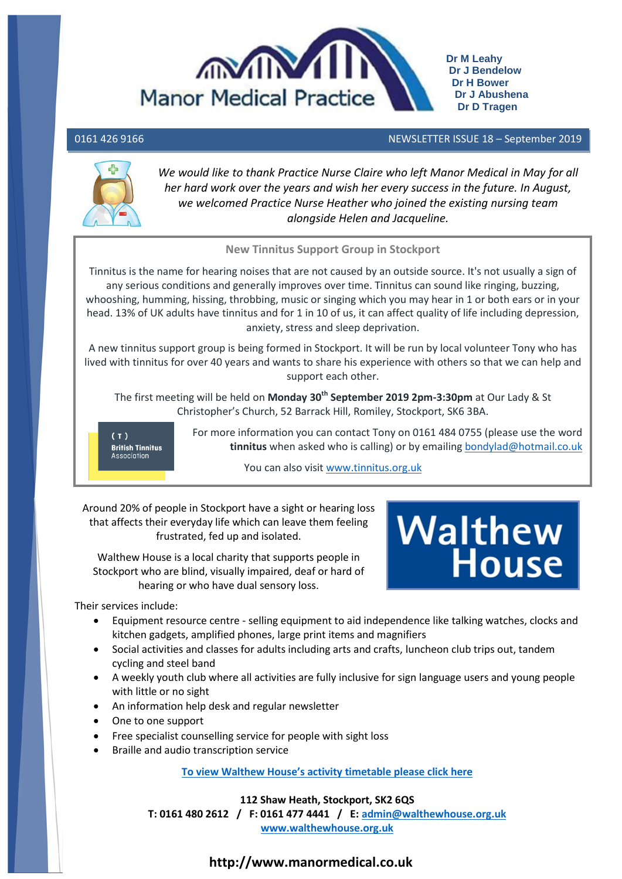

# 0161 426 9166 NEWSLETTER ISSUE 18 – September 2019



We would like to thank Practice Nurse Claire who left Manor Medical in May for all *her hard work over the years and wish her every success in the future. In August, we welcomed Practice Nurse Heather who joined the existing nursing team alongside Helen and Jacqueline.*

# **New Tinnitus Support Group in Stockport**

Tinnitus is the name for hearing noises that are not caused by an outside source. It's not usually a sign of any serious conditions and generally improves over time. Tinnitus can sound like ringing, buzzing, whooshing, humming, hissing, throbbing, music or singing which you may hear in 1 or both ears or in your head. 13% of UK adults have tinnitus and for 1 in 10 of us, it can affect quality of life including depression, anxiety, stress and sleep deprivation.

A new tinnitus support group is being formed in Stockport. It will be run by local volunteer Tony who has lived with tinnitus for over 40 years and wants to share his experience with others so that we can help and support each other.

The first meeting will be held on **Monday 30th September 2019 2pm-3:30pm** at Our Lady & St Christopher's Church, 52 Barrack Hill, Romiley, Stockport, SK6 3BA.

**British Tinnitus** Association

For more information you can contact Tony on 0161 484 0755 (please use the word **tinnitus** when asked who is calling) or by emailing [bondylad@hotmail.co.uk](mailto:bondylad@hotmail.co.uk)

You can also visit [www.tinnitus.org.uk](http://www.tinnitus.org.uk/)

Around 20% of people in Stockport have a sight or hearing loss that affects their everyday life which can leave them feeling frustrated, fed up and isolated.

Walthew House is a local charity that supports people in Stockport who are blind, visually impaired, deaf or hard of hearing or who have dual sensory loss.



Their services include:

- Equipment resource centre selling equipment to aid independence like talking watches, clocks and kitchen gadgets, amplified phones, large print items and magnifiers
- Social activities and classes for adults including arts and crafts, luncheon club trips out, tandem cycling and steel band
- A weekly youth club where all activities are fully inclusive for sign language users and young people with little or no sight
- An information help desk and regular newsletter
- One to one support
- Free specialist counselling service for people with sight loss
- Braille and audio transcription service

**To view Walthew House's [activity timetable please click here](http://manormedical.co.uk/website/P88003/files/Walthew%20house%20timetable.pdf)**

## **112 Shaw Heath, Stockport, SK2 6QS**

**T: 0161 480 2612 / F: 0161 477 4441 / E: [admin@walthewhouse.org.uk](mailto:admin@walthewhouse.org.uk) [www.walthewhouse.org.uk](http://www.walthewhouse.org.uk/)**